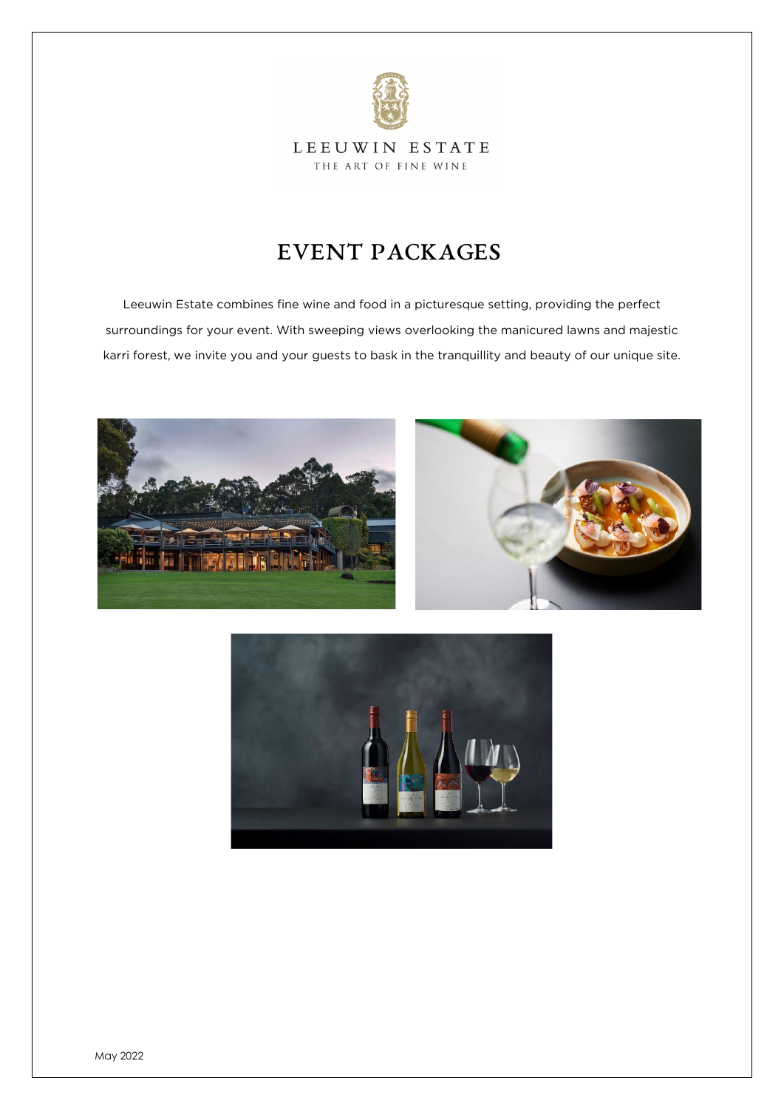

### LEEUWIN ESTATE THE ART OF FINE WINE

# EVENT PACKAGES

Leeuwin Estate combines fine wine and food in a picturesque setting, providing the perfect surroundings for your event. With sweeping views overlooking the manicured lawns and majestic karri forest, we invite you and your guests to bask in the tranquillity and beauty of our unique site.





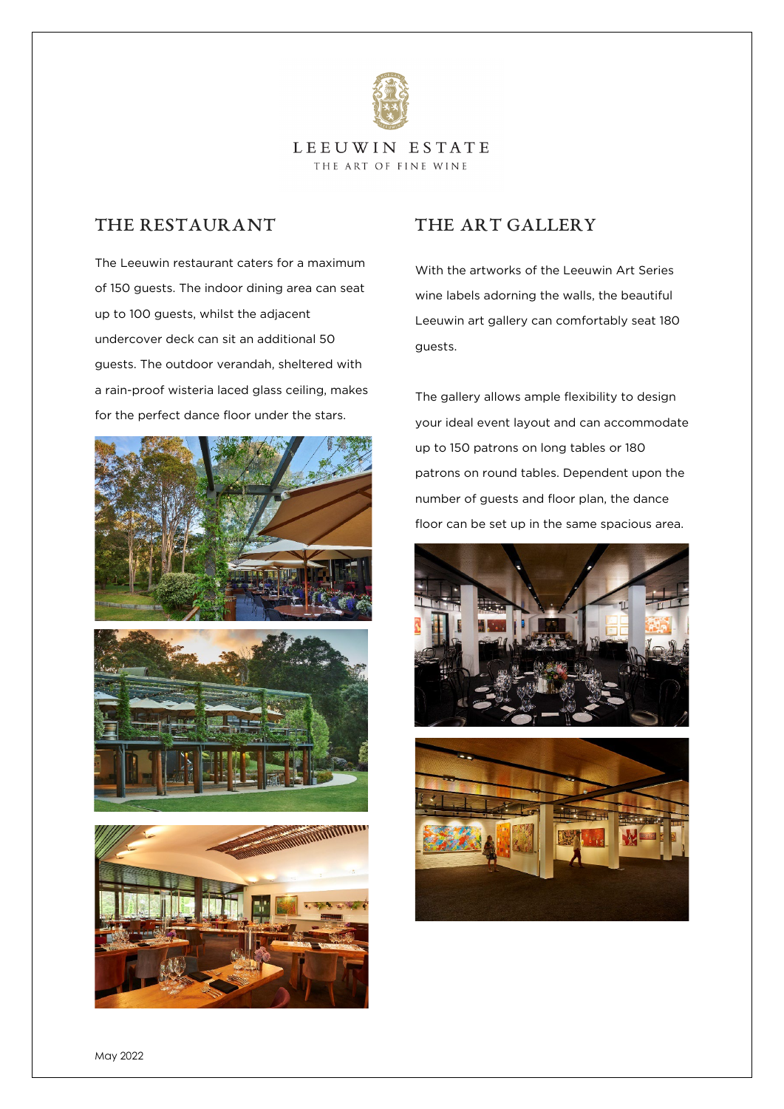

#### LEEUWIN ESTATE THE ART OF FINE WINE

## The Restaurant

The Leeuwin restaurant caters for a maximum of 150 guests. The indoor dining area can seat up to 100 guests, whilst the adjacent undercover deck can sit an additional 50 guests. The outdoor verandah, sheltered with a rain-proof wisteria laced glass ceiling, makes for the perfect dance floor under the stars.







## THE ART GALLERY

With the artworks of the Leeuwin Art Series wine labels adorning the walls, the beautiful Leeuwin art gallery can comfortably seat 180 guests.

The gallery allows ample flexibility to design your ideal event layout and can accommodate up to 150 patrons on long tables or 180 patrons on round tables. Dependent upon the number of guests and floor plan, the dance floor can be set up in the same spacious area.



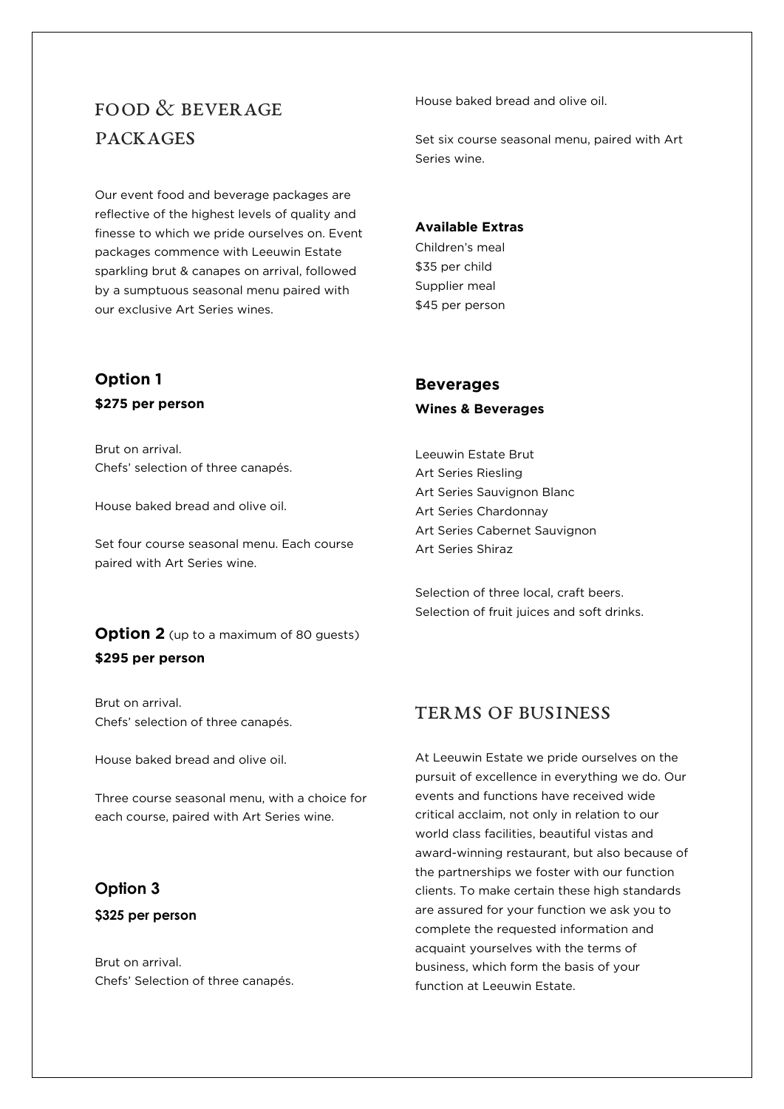# FOOD  $\&$  BEVER AGE Packages

Our event food and beverage packages are reflective of the highest levels of quality and finesse to which we pride ourselves on. Event packages commence with Leeuwin Estate sparkling brut & canapes on arrival, followed by a sumptuous seasonal menu paired with our exclusive Art Series wines.

# **Option 1 \$275 per person**

Brut on arrival. Chefs' selection of three canapés.

House baked bread and olive oil.

Set four course seasonal menu. Each course paired with Art Series wine.

## **Option 2** (up to a maximum of 80 guests) **\$295 per person**

Brut on arrival. Chefs' selection of three canapés.

House baked bread and olive oil.

Three course seasonal menu, with a choice for each course, paired with Art Series wine.

## **Option 3**

#### **\$325 per person**

Brut on arrival. Chefs' Selection of three canapés. House baked bread and olive oil.

Set six course seasonal menu, paired with Art Series wine.

#### **Available Extras**

Children's meal \$35 per child Supplier meal \$45 per person

# **Beverages**

#### **Wines & Beverages**

Leeuwin Estate Brut Art Series Riesling Art Series Sauvignon Blanc Art Series Chardonnay Art Series Cabernet Sauvignon Art Series Shiraz

Selection of three local, craft beers. Selection of fruit juices and soft drinks.

## TERMS OF BUSINESS

At Leeuwin Estate we pride ourselves on the pursuit of excellence in everything we do. Our events and functions have received wide critical acclaim, not only in relation to our world class facilities, beautiful vistas and award-winning restaurant, but also because of the partnerships we foster with our function clients. To make certain these high standards are assured for your function we ask you to complete the requested information and acquaint yourselves with the terms of business, which form the basis of your function at Leeuwin Estate.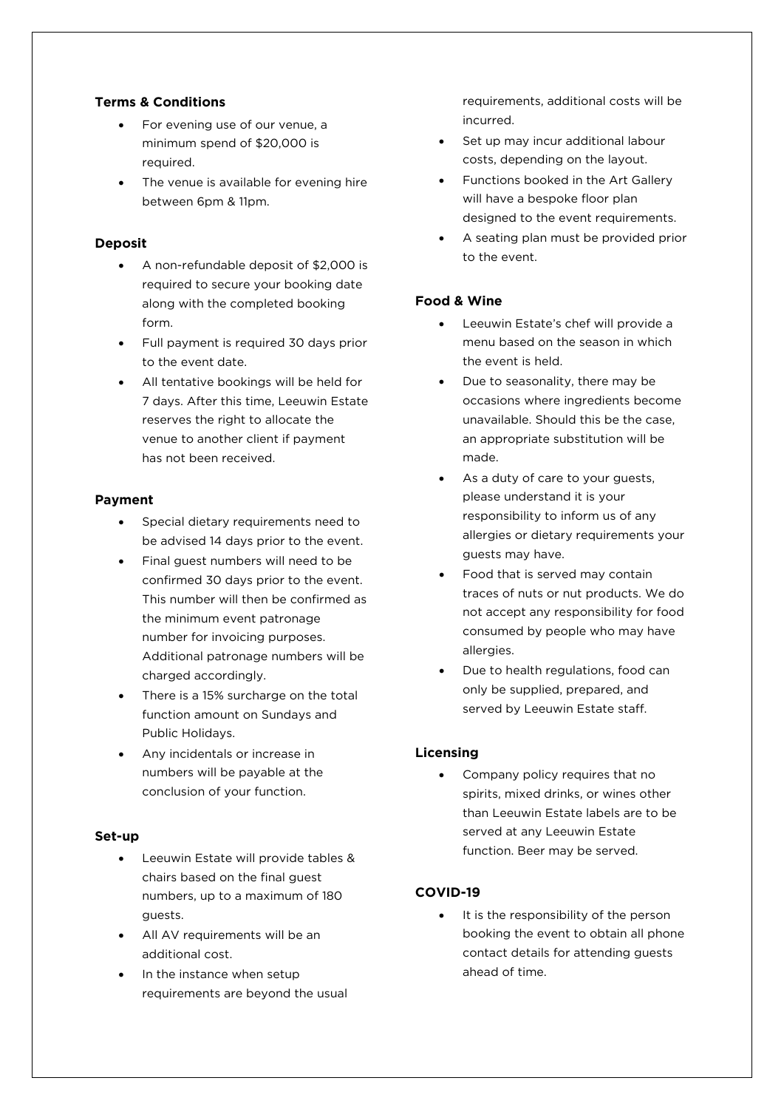### **Terms & Conditions**

- For evening use of our venue, a minimum spend of \$20,000 is required.
- The venue is available for evening hire between 6pm & 11pm.

#### **Deposit**

- A non-refundable deposit of \$2,000 is required to secure your booking date along with the completed booking form.
- Full payment is required 30 days prior to the event date.
- All tentative bookings will be held for 7 days. After this time, Leeuwin Estate reserves the right to allocate the venue to another client if payment has not been received.

#### **Payment**

- Special dietary requirements need to be advised 14 days prior to the event.
- Final guest numbers will need to be confirmed 30 days prior to the event. This number will then be confirmed as the minimum event patronage number for invoicing purposes. Additional patronage numbers will be charged accordingly.
- There is a 15% surcharge on the total function amount on Sundays and Public Holidays.
- Any incidentals or increase in numbers will be payable at the conclusion of your function.

#### **Set-up**

- Leeuwin Estate will provide tables & chairs based on the final guest numbers, up to a maximum of 180 guests.
- All AV requirements will be an additional cost.
- In the instance when setup requirements are beyond the usual

requirements, additional costs will be incurred.

- Set up may incur additional labour costs, depending on the layout.
- Functions booked in the Art Gallery will have a bespoke floor plan designed to the event requirements.
- A seating plan must be provided prior to the event.

#### **Food & Wine**

- Leeuwin Estate's chef will provide a menu based on the season in which the event is held.
- Due to seasonality, there may be occasions where ingredients become unavailable. Should this be the case, an appropriate substitution will be made.
- As a duty of care to your guests, please understand it is your responsibility to inform us of any allergies or dietary requirements your guests may have.
- Food that is served may contain traces of nuts or nut products. We do not accept any responsibility for food consumed by people who may have allergies.
- Due to health regulations, food can only be supplied, prepared, and served by Leeuwin Estate staff.

#### **Licensing**

• Company policy requires that no spirits, mixed drinks, or wines other than Leeuwin Estate labels are to be served at any Leeuwin Estate function. Beer may be served.

#### **COVID-19**

It is the responsibility of the person booking the event to obtain all phone contact details for attending guests ahead of time.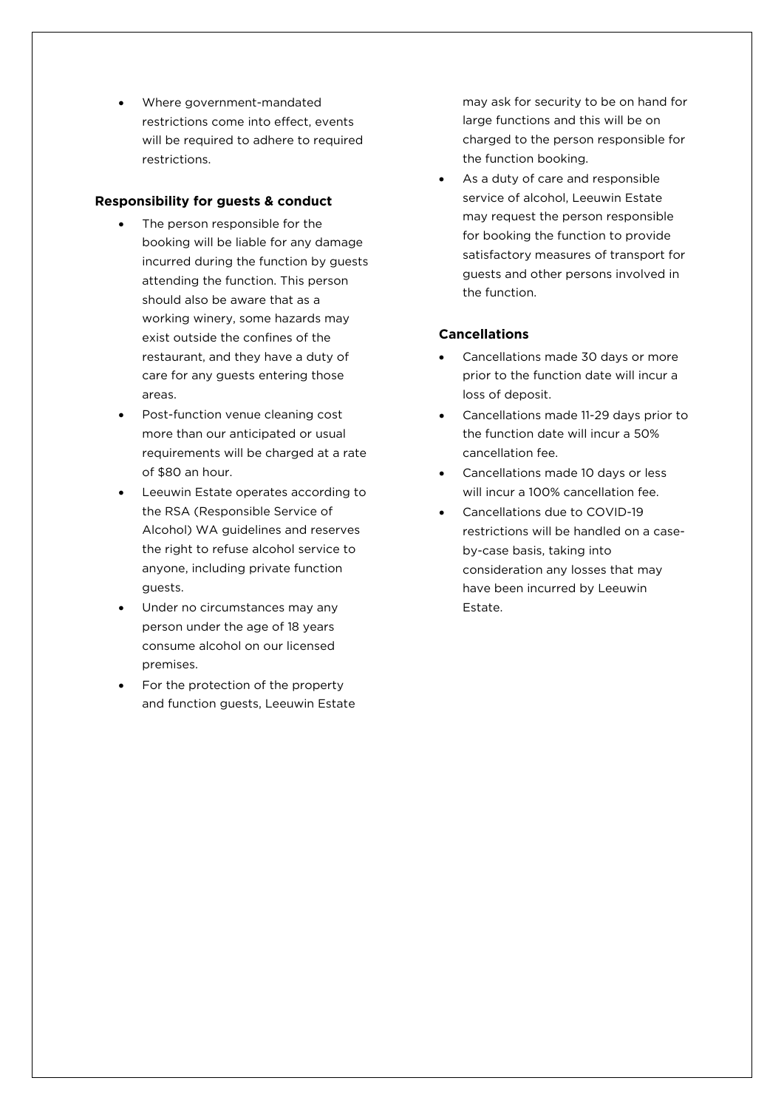• Where government-mandated restrictions come into effect, events will be required to adhere to required restrictions.

#### **Responsibility for guests & conduct**

- The person responsible for the booking will be liable for any damage incurred during the function by guests attending the function. This person should also be aware that as a working winery, some hazards may exist outside the confines of the restaurant, and they have a duty of care for any guests entering those areas.
- Post-function venue cleaning cost more than our anticipated or usual requirements will be charged at a rate of \$80 an hour.
- Leeuwin Estate operates according to the RSA (Responsible Service of Alcohol) WA guidelines and reserves the right to refuse alcohol service to anyone, including private function guests.
- Under no circumstances may any person under the age of 18 years consume alcohol on our licensed premises.
- For the protection of the property and function guests, Leeuwin Estate

may ask for security to be on hand for large functions and this will be on charged to the person responsible for the function booking.

As a duty of care and responsible service of alcohol, Leeuwin Estate may request the person responsible for booking the function to provide satisfactory measures of transport for guests and other persons involved in the function.

#### **Cancellations**

- Cancellations made 30 days or more prior to the function date will incur a loss of deposit.
- Cancellations made 11-29 days prior to the function date will incur a 50% cancellation fee.
- Cancellations made 10 days or less will incur a 100% cancellation fee.
- Cancellations due to COVID-19 restrictions will be handled on a caseby-case basis, taking into consideration any losses that may have been incurred by Leeuwin Estate.